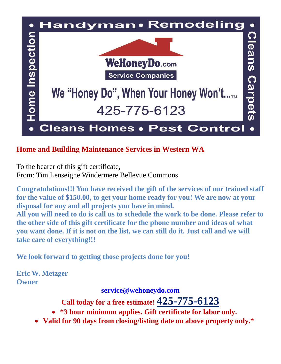

### **Home and Building Maintenance Services in Western WA**

To the bearer of this gift certificate, From: Tim Lenseigne Windermere Bellevue Commons

**Congratulations!!! You have received the gift of the services of our trained staff for the value of \$150.00, to get your home ready for you! We are now at your disposal for any and all projects you have in mind.**

**All you will need to do is call us to schedule the work to be done. Please refer to the other side of this gift certificate for the phone number and ideas of what you want done. If it is not on the list, we can still do it. Just call and we will take care of everything!!!**

**We look forward to getting those projects done for you!**

**Eric W. Metzger Owner**

**[service@wehoneydo.com](mailto:fixit@wehoneydo.com)**

**Call today for a free estimate! 425-775-6123**

**\*3 hour minimum applies. Gift certificate for labor only.** 

**Valid for 90 days from closing/listing date on above property only.\***